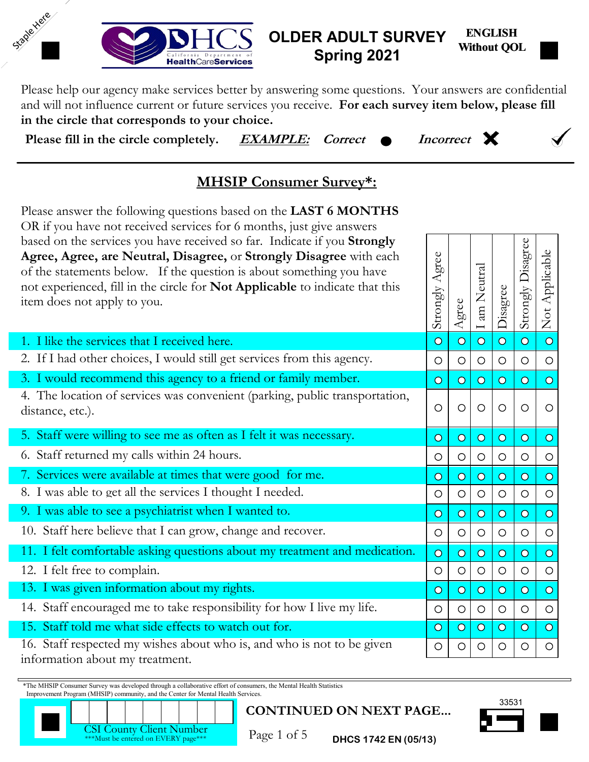

#### **ENGLISH Without QOL OLDER ADULT SURVEY Spring 2021**

Please help our agency make services better by answering some questions. Your answers are confidential and will not influence current or future services you receive. **For each survey item below, please fill in the circle that corresponds to your choice.**

**Please fill in the circle completely. EXAMPLE:** Correct  $\bullet$  Incorrect

Staple Here

M



# **MHSIP Consumer Survey\*:**

Please answer the following questions based on the **LAST 6 MONTHS** OR if you have not received services for 6 months, just give answers based on the services you have received so far. Indicate if you **Strongly Agree, Agree, are Neutral, Disagree,** or **Strongly Disagree** with each of the statements below. If the question is about something you have not experienced, fill in the circle for **Not Applicable** to indicate that this item does not apply to you.

| based on the services you have received so far. Indicate if you <b>Strongly</b><br>Agree, Agree, are Neutral, Disagree, or Strongly Disagree with each<br>of the statements below. If the question is about something you have<br>not experienced, fill in the circle for Not Applicable to indicate that this<br>item does not apply to you.             | Agree<br>Strongly       | Agree                   | am Neutral<br>$\overline{\phantom{0}}$ | Disagree       | Strongly Disagree | Not Applicable |
|-----------------------------------------------------------------------------------------------------------------------------------------------------------------------------------------------------------------------------------------------------------------------------------------------------------------------------------------------------------|-------------------------|-------------------------|----------------------------------------|----------------|-------------------|----------------|
| 1. I like the services that I received here.                                                                                                                                                                                                                                                                                                              | $\overline{O}$          | $\overline{\mathbf{O}}$ | $\overline{O}$                         | $\overline{O}$ | $\overline{O}$    | $\overline{O}$ |
| 2. If I had other choices, I would still get services from this agency.                                                                                                                                                                                                                                                                                   | $\circ$                 | $\circ$                 | $\circ$                                | $\circ$        | O                 | $\circ$        |
| 3. I would recommend this agency to a friend or family member.                                                                                                                                                                                                                                                                                            | $\overline{O}$          | $\overline{O}$          | $\overline{O}$                         | $\overline{O}$ | $\circ$           | $\overline{O}$ |
| 4. The location of services was convenient (parking, public transportation,<br>distance, etc.).                                                                                                                                                                                                                                                           | $\circ$                 | $\circ$                 | $\circ$                                | $\circ$        | $\circ$           | O              |
| 5. Staff were willing to see me as often as I felt it was necessary.                                                                                                                                                                                                                                                                                      | $\overline{O}$          | $\overline{O}$          | $\overline{O}$                         | $\overline{O}$ | $\overline{O}$    | $\circ$        |
| 6. Staff returned my calls within 24 hours.                                                                                                                                                                                                                                                                                                               | $\circ$                 | $\circ$                 | $\circ$                                | $\circ$        | $\circ$           | $\circ$        |
| 7. Services were available at times that were good for me.                                                                                                                                                                                                                                                                                                | $\overline{\mathbf{O}}$ | $\overline{O}$          | $\overline{O}$                         | $\overline{O}$ | $\overline{O}$    | $\overline{O}$ |
| 8. I was able to get all the services I thought I needed.                                                                                                                                                                                                                                                                                                 | $\circ$                 | $\circ$                 | $\circ$                                | $\circ$        | $\circ$           | $\circ$        |
| 9. I was able to see a psychiatrist when I wanted to.                                                                                                                                                                                                                                                                                                     | $\overline{O}$          | $\overline{O}$          | $\overline{O}$                         | $\overline{O}$ | $\overline{O}$    | $\overline{O}$ |
| 10. Staff here believe that I can grow, change and recover.                                                                                                                                                                                                                                                                                               | $\circ$                 | $\circ$                 | $\circ$                                | $\circ$        | $\circ$           | $\circ$        |
| 11. I felt comfortable asking questions about my treatment and medication.                                                                                                                                                                                                                                                                                | $\overline{O}$          | $\overline{O}$          | $\overline{O}$                         | $\overline{O}$ | $\overline{O}$    | $\overline{O}$ |
| 12. I felt free to complain.                                                                                                                                                                                                                                                                                                                              | $\circ$                 | $\circ$                 | $\circ$                                | $\circ$        | $\circ$           | $\circ$        |
| 13. I was given information about my rights.                                                                                                                                                                                                                                                                                                              | $\overline{O}$          | $\overline{O}$          | $\overline{O}$                         | $\overline{O}$ | $\overline{O}$    | $\overline{O}$ |
| 14. Staff encouraged me to take responsibility for how I live my life.                                                                                                                                                                                                                                                                                    | $\circ$                 | $\circ$                 | $\circ$                                | $\circ$        | $\circ$           | $\circ$        |
| 15. Staff told me what side effects to watch out for.                                                                                                                                                                                                                                                                                                     | $\overline{O}$          | $\overline{O}$          | $\overline{O}$                         | $\overline{O}$ | $\overline{O}$    | $\circ$        |
| 16. Staff respected my wishes about who is, and who is not to be given                                                                                                                                                                                                                                                                                    | $\circ$                 | O                       | $\circ$                                | $\circ$        | O                 | $\circ$        |
| information about my treatment.                                                                                                                                                                                                                                                                                                                           |                         |                         |                                        |                |                   |                |
| *The MHSIP Consumer Survey was developed through a collaborative effort of consumers, the Mental Health Statistics<br>Improvement Program (MHSIP) community, and the Center for Mental Health Services.<br><b>CONTINUED ON NEXT PAGE</b><br><b>CSI County Client Number</b><br>Page 1 of 5<br>***Must be entered on EVERY page***<br>DHCS 1742 EN (05/13) |                         |                         |                                        | 33531          |                   |                |



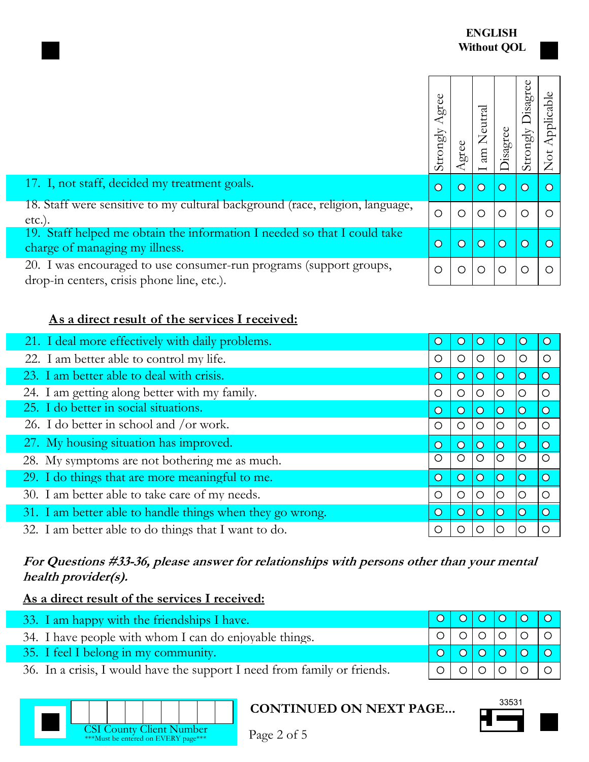|                                                                                                                  | Agree<br>Strongly | gree                  | Neutral<br>am         | isagree    | sagree<br>Strongly    |  |
|------------------------------------------------------------------------------------------------------------------|-------------------|-----------------------|-----------------------|------------|-----------------------|--|
| 17. I, not staff, decided my treatment goals.                                                                    | $\overline{O}$    | $\overline{\text{O}}$ | $\overline{\text{O}}$ | $\bigcirc$ | $\circ$               |  |
| 18. Staff were sensitive to my cultural background (race, religion, language,<br>etc.).                          | $\circ$           | ◯                     | ◯                     | ∩          | ∩                     |  |
| 19. Staff helped me obtain the information I needed so that I could take<br>charge of managing my illness.       | $\overline{O}$    | $\overline{\rm O}$    | $\overline{O}$        | $\circ$    | $\overline{\text{O}}$ |  |
| 20. I was encouraged to use consumer-run programs (support groups,<br>drop-in centers, crisis phone line, etc.). | $\circ$           | O                     | $\circ$               | Ω          | $\left(\right)$       |  |

## **As a direct result of the services I received:**

| 21. I deal more effectively with daily problems.          | C                     | $\cup$  |                | $\rm{O}$                |                         |                       |
|-----------------------------------------------------------|-----------------------|---------|----------------|-------------------------|-------------------------|-----------------------|
| 22. I am better able to control my life.                  | $\circ$               | O       | $\circ$        | $\circ$                 | $\circ$                 | С                     |
| 23. I am better able to deal with crisis.                 | $\circ$               | $\circ$ | $\overline{O}$ | $\overline{\mathbf{O}}$ | $\mathbf{\circ}$        | $\overline{\text{O}}$ |
| 24. I am getting along better with my family.             | O                     | O       | O              | O                       | O                       | $\circ$               |
| 25. I do better in social situations.                     | $\overline{O}$        | $\circ$ | $\Omega$       | $\overline{\text{O}}$   | $\bigcirc$              | $\overline{O}$        |
| 26. I do better in school and /or work.                   | O                     | $\circ$ | O              | $\circ$                 | O                       | $\circ$               |
| 27. My housing situation has improved.                    | $\overline{\text{O}}$ | $\circ$ | $\Omega$       | $\overline{\mathsf{O}}$ | $\overline{\mathsf{O}}$ | $\overline{O}$        |
| 28. My symptoms are not bothering me as much.             | O                     | $\circ$ | $\circ$        | $\circ$                 | lO                      | $\circ$               |
| 29. I do things that are more meaningful to me.           | $\overline{O}$        | $\circ$ | $\overline{O}$ | $\overline{\mathsf{O}}$ | $\mathbf{\circ}$        | $\overline{O}$        |
| 30. I am better able to take care of my needs.            | O                     | $\circ$ | ◯              | $\circ$                 | $\circ$                 | $\circ$               |
| 31. I am better able to handle things when they go wrong. | $\overline{\text{O}}$ | $\circ$ | $\overline{O}$ | $\overline{\mathsf{O}}$ | $\circ$                 | $\overline{O}$        |
| 32. I am better able to do things that I want to do.      | Ο                     | $\cup$  | O              | ∩                       |                         | ∩                     |

## **For Questions #33-36, please answer for relationships with persons other than your mental health provider(s).**

## **As a direct result of the services I received:**

| 33. I am happy with the friendships I have.                              |  |  | 0   0   0   0   0     |
|--------------------------------------------------------------------------|--|--|-----------------------|
| 34. I have people with whom I can do enjoyable things.                   |  |  | 0 0 0 0 0 0           |
| 35. I feel I belong in my community.                                     |  |  |                       |
| 36. In a crisis, I would have the support I need from family or friends. |  |  | │ ○ │ ○ │ ○ │ ○ │ ○ │ |



## **CONTINUED ON NEXT PAGE...**  $\qquad \qquad \qquad$  <sup>33531</sup>



Page 2 of 5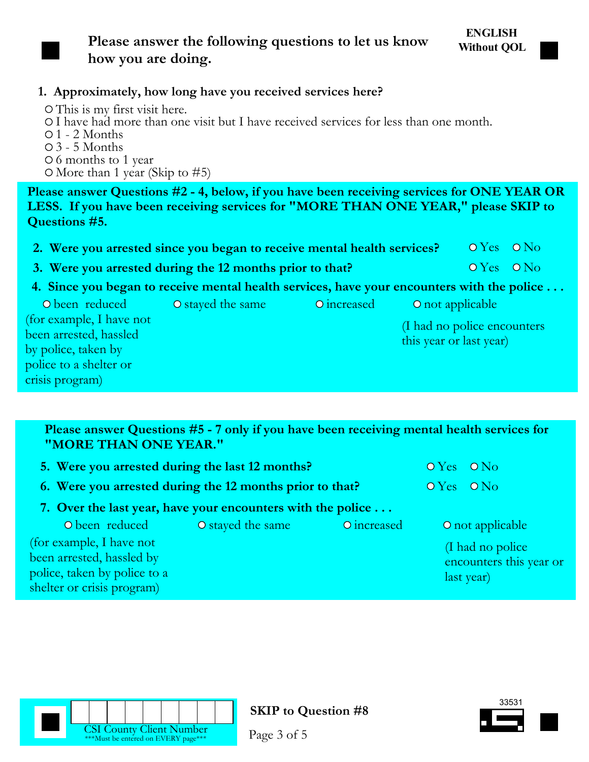

## **Please answer the following questions to let us know how you are doing.**

## **1. Approximately, how long have you received services here?**

This is my first visit here. I have had more than one visit but I have received services for less than one month.  $\circ$  1 - 2 Months 3 - 5 Months 6 months to 1 year  $\circ$  More than 1 year (Skip to #5)

**Please answer Questions #2 - 4, below, if you have been receiving services for ONE YEAR OR LESS. If you have been receiving services for "MORE THAN ONE YEAR," please SKIP to Questions #5.**

- **2. Were you arrested since you began to receive mental health services?** O Yes O No
- **3. Were you arrested during the 12 months prior to that?** O Yes O No
- **4. Since you began to receive mental health services, have your encounters with the police . . .**

| O been reduced           | O stayed the same | O increased | O not applicable             |
|--------------------------|-------------------|-------------|------------------------------|
| (for example, I have not |                   |             | (I had no police encounters) |
| been arrested, hassled   |                   |             | this year or last year)      |
| by police, taken by      |                   |             |                              |
| police to a shelter or   |                   |             |                              |
| crisis program)          |                   |             |                              |

**Please answer Questions #5 - 7 only if you have been receiving mental health services for "MORE THAN ONE YEAR."**

|                                                          | 5. Were you arrested during the last 12 months?             |                                      |  |                         |  |  |
|----------------------------------------------------------|-------------------------------------------------------------|--------------------------------------|--|-------------------------|--|--|
| 6. Were you arrested during the 12 months prior to that? |                                                             | $\overline{OY}$ es $\overline{ON_O}$ |  |                         |  |  |
|                                                          | 7. Over the last year, have your encounters with the police |                                      |  |                         |  |  |
| O been reduced                                           | O stayed the same                                           | O increased                          |  | O not applicable        |  |  |
| (for example, I have not                                 |                                                             |                                      |  | (I had no police        |  |  |
| been arrested, hassled by                                |                                                             |                                      |  | encounters this year or |  |  |
| police, taken by police to a                             |                                                             |                                      |  | last year)              |  |  |
| shelter or crisis program)                               |                                                             |                                      |  |                         |  |  |





Page 3 of 5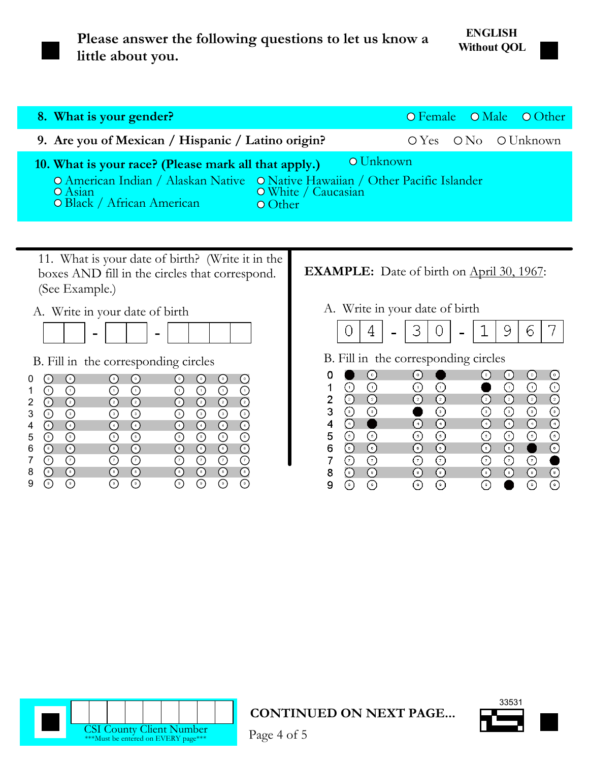

**Please answer the following questions to let us know a little about you.**

## **ENGLISH Without QOL**

| 8. What is your gender?                                                                                                                                                                                                    |  | O Female O Male O Other |
|----------------------------------------------------------------------------------------------------------------------------------------------------------------------------------------------------------------------------|--|-------------------------|
| 9. Are you of Mexican / Hispanic / Latino origin?                                                                                                                                                                          |  | $OYes$ $ONo$ $OUnknown$ |
| O Unknown<br>10. What is your race? (Please mark all that apply.)<br>O American Indian / Alaskan Native O Native Hawaiian / Other Pacific Islander<br>O Asian O White / Caucasian<br>O Black / African American<br>O Other |  |                         |

11. What is your date of birth? (Write it in the boxes AND fill in the circles that correspond. (See Example.)

## A. Write in your date of birth



B. Fill in the corresponding circles

|   | $\mathbf 0$        | $\sim$ 0 $\prime$    | $\bullet$                                       | $\circ$                     | $\mathbf 0$                                     | 0 <sup>1</sup> | $\circ$              | $\circ$                           |  |
|---|--------------------|----------------------|-------------------------------------------------|-----------------------------|-------------------------------------------------|----------------|----------------------|-----------------------------------|--|
|   | $\epsilon_{\perp}$ | $\bigcap$            | $\left[1\right]$                                | Ŧ                           | $\mathbf{1}$                                    | Ω              | 7                    | ∩                                 |  |
| 2 | $\left(2\right)$   | ⊘                    | $\left( \frac{2}{2} \right)$                    | $\Omega$                    | $\left( \frac{1}{2} \right)$                    | $\bigcirc$     | $\binom{2}{2}$       | $\overline{O}$                    |  |
|   | $\Omega$           | $\overline{(\cdot)}$ | $\bigcirc$                                      | ⊙                           | $\left( \begin{array}{c} 3 \end{array} \right)$ | ⊙              | ⊙                    | $\overline{O}$                    |  |
|   | $\overline{4}$     | $\Omega$             | $\overline{4}$                                  | 4                           | $\overline{4}$                                  | $-4$           | 4                    | $\Omega$                          |  |
| 5 | $\circ$            | $\overline{(\cdot)}$ | $\left(5\right)$                                | $\odot$                     | $\left[ 5 \right]$                              | $\bigodot$     | ∩                    | $\overline{(\overline{\cdot})}$   |  |
| 6 | (6)                | $\mathbb{Q}$         | $\left[ \begin{array}{c} 6 \end{array} \right]$ | $_4$ 6 $\blacktriangledown$ | $\left[6\right]$                                | (၅)            | ( 6 )                | $\overline{(\mathstrut\hat{}\,)}$ |  |
|   | ∩                  | ⊙                    | $\frac{1}{7}$                                   | $\frac{1}{2}$               | $7^{\circ}$                                     | $\mathcal{T}$  | $\frac{1}{\epsilon}$ | $\overline{O}$                    |  |
|   | $^{8}$             | ☞                    | $^{\circ}$ 8                                    | $-8$                        | $^{\circ}$ 8                                    | (8)            | $^{[8]}$             | $\Omega$                          |  |
|   | 9                  | ှ                    | $_{9}$                                          | $\mathsf g$                 | ່ 9                                             | ່າ             | ່ 9                  | $\odot$                           |  |

## **EXAMPLE:** Date of birth on April 30, 1967:

### A. Write in your date of birth

### B. Fill in the corresponding circles





**CONTINUED ON NEXT PAGE...**